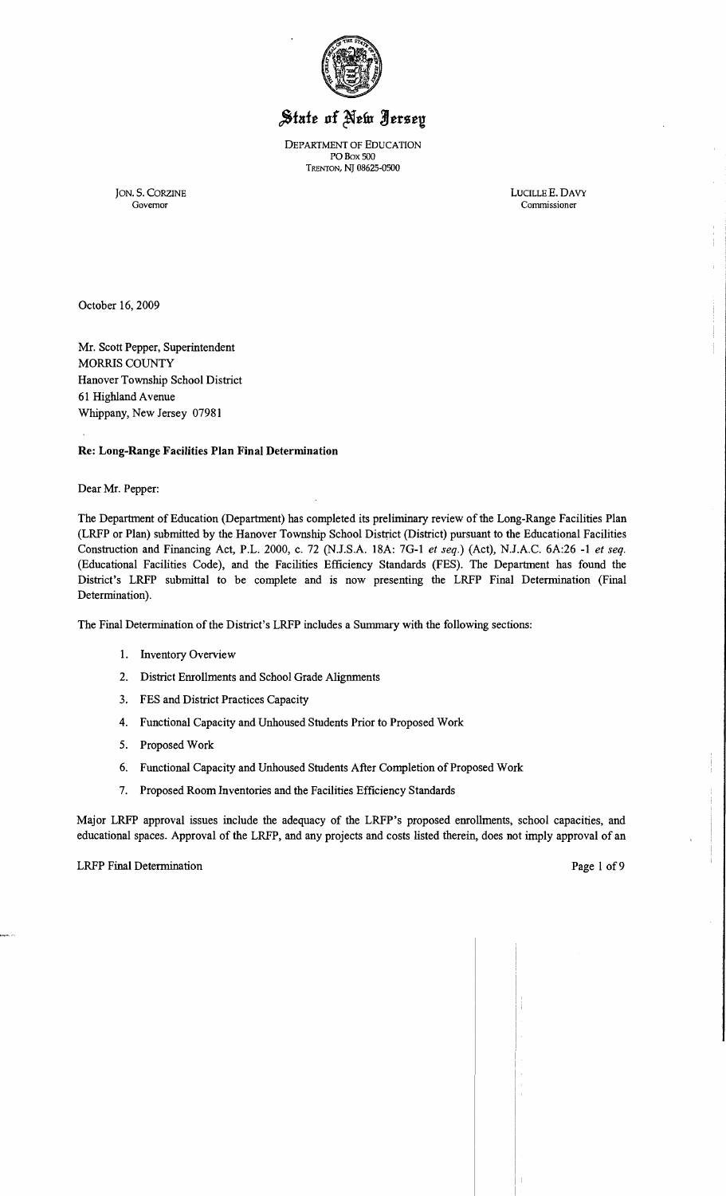

# State of New Jersey

DEPARTMENT OF EDUCATION POBox 500 TRENTON, NJ 08625-0500

JON. S. CORZINE LUCILLEE. DAVY Governor Commissioner

October 16, 2009

Mr. Scott Pepper, Superintendent MORRIS COUNTY Hanover Township School District 61 Highland Avenue Whippany, New Jersey 07981

Re: Long-Range Facilities Plan Final Determination

Dear Mr. Pepper:

The Department of Education (Department) has completed its preliminary review of the Long-Range Facilities Plan (LRFP or Plan) submitted by the Hanover Township School District (District) pursuant to the Educational Facilities Construction and Financing Act, P.L. 2000, c. 72 (NJ.S.A. 18A: 7G-l *et seq.)* (Act), N.J.A.C. 6A:26 -1 *et seq.*  (Educational Facilities Code), and the Facilities Efficiency Standards (FES). The Department has found the District's LRFP submittal to be complete and is now presenting the LRFP Final Determination (Final Determination).

The Final Determination of the District's LRFP includes a Summary with the following sections:

- 1. Inventory Overview
- 2. District Enrollments and School Grade Alignments
- 3. FES and District Practices Capacity
- 4. Functional Capacity and Unhoused Students Prior to Proposed Work
- 5. Proposed Work
- 6. Functional Capacity and Unhoused Students After Completion of Proposed Work
- 7. Proposed Room Inventories and the Facilities Efficiency Standards

Major LRFP approval issues include the adequacy of the LRFP's proposed enrollments, school capacities, and educational spaces. Approval of the LRFP, and any projects and costs listed therein, does not imply approval of an

#### LRFP Final Determination **Page 1 of 9** and 1 and 1 and 1 and 1 and 1 and 1 and 1 and 1 and 1 and 1 and 1 and 1 and 1 and 1 and 1 and 1 and 1 and 1 and 1 and 1 and 1 and 1 and 1 and 1 and 1 and 1 and 1 and 1 and 1 and 1 and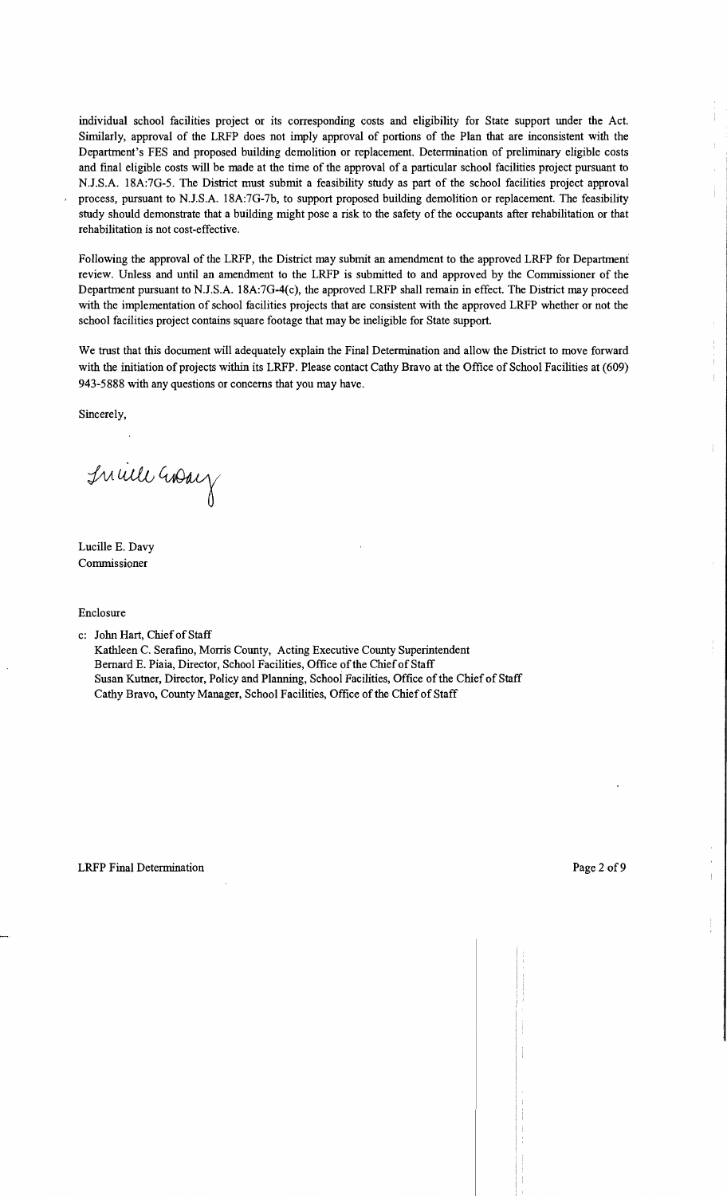individual school facilities project or its corresponding costs and eligibility for State support under the Act. Similarly, approval of the LRFP does not imply approval of portions of the Plan that are inconsistent with the Department's FES and proposed building demolition or replacement. Detennination of preliminary eligible costs and final eligible costs will be made at the time of the approval of a particular school facilities project pursuant to NJ.S.A. 18A:7G-5. The District must submit a feasibility study as part of the school facilities project approval process, pursuant to N.J.S.A. 18A:7G-7b, to support proposed building demolition or replacement. The feasibility study should demonstrate that a building might pose a risk to the safety of the occupants after rehabilitation or that rehabilitation is not cost-effective.

Following the approval of the LRFP, the District may submit an amendment to the approved LRFP for Department review. Unless and until an amendment to the LRFP is submitted to and approved by the Commissioner of the Department pursuant to NJ.S.A. 18A:7G-4(c), the approved LRFP shall remain in effect. The District may proceed with the implementation of school facilities projects that are consistent with the approved LRFP whether or not the school facilities project contains square footage that may be ineligible for State support.

We trust that this document will adequately explain the Final Determination and allow the District to move forward with the initiation of projects within its LRFP. Please contact Cathy Bravo at the Office of School Facilities at (609) 943-5888 with any questions or concerns that you may have.

Sincerely,

Inville Gray

Lucille E. Davy Commissioner

Enclosure

c: John Hart, Chief of Staff

Kathleen C. Serafino, Morris County, Acting Executive County Superintendent Bernard E. Piaia, Director, School Facilities, Office of the Chief of Staff Susan Kutner, Director, Policy and Planning, School Facilities, Office of the Chief of Staff Cathy Bravo, County Manager, School Facilities, Office of the Chief of Staff

Ť.  $\pm$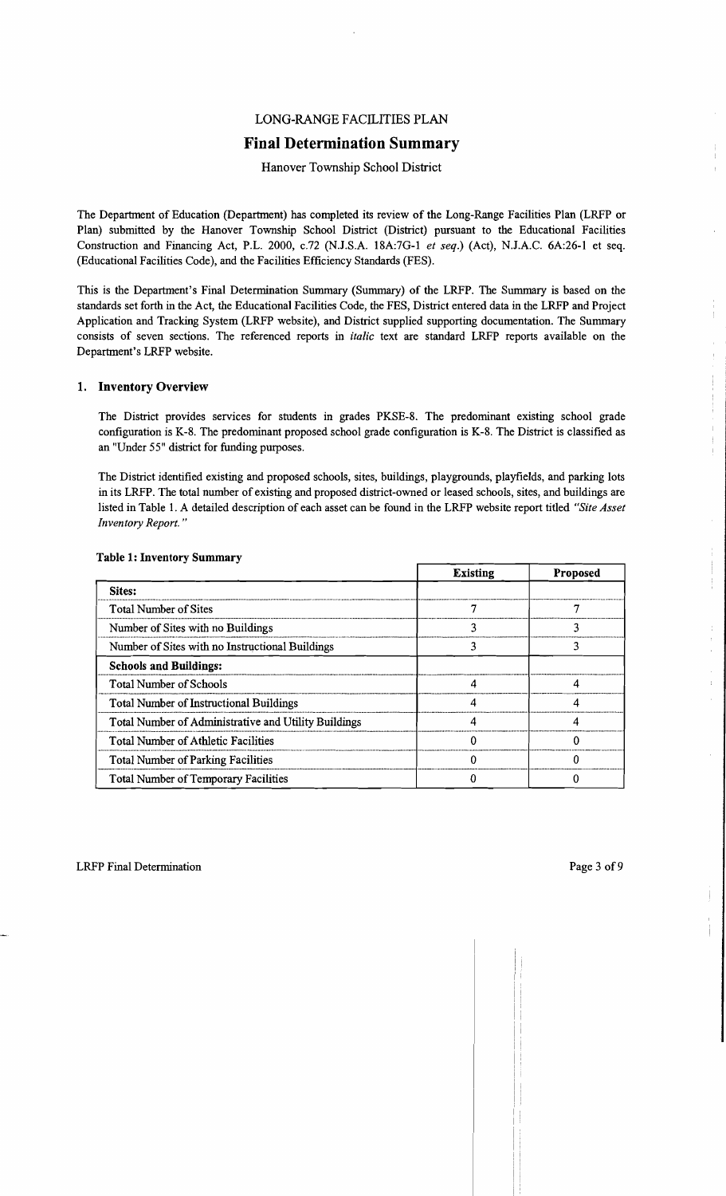# LONG-RANGE FACILITIES PLAN

# **Final Determination Summary**

Hanover Township School District

The Department of Education (Department) has completed its review of the Long-Range Facilities Plan (LRFP or Plan) submitted by the Hanover Township School District (District) pursuant to the Educational Facilities Construction and Financing Act, P.L. 2000, *c.*72 (N.J.S.A. 18A:7G-1 *et seq.*) (Act), N.J.A.C. 6A:26-1 et seq. (Educational Facilities Code), and the Facilities Efficiency Standards (FES).

This is the Department's Final Determination Summary (Summary) of the LRFP. The Summary is based on the standards set forth in the Act, the Educational Facilities Code, the FES, District entered data in the LRFP and Project Application and Tracking System (LRFP website), and District supplied supporting documentation. The Summary consists of seven sections. The referenced reports in *italic* text are standard LRFP reports available on the Department's LRFP website.

#### 1. Inventory Overview

The District provides services for students in grades PKSE-8. The predominant existing school grade configuration is K-8. The predominant proposed school grade configuration is K-8. The District is classified as an "Under 55" district for funding purposes.

The District identified existing and proposed schools, sites, buildings, playgrounds, playfields, and parking lots in its LRFP. The total number of existing and proposed district-owned or leased schools, sites, and buildings are listed in Table 1. A detailed description of each asset can be found in the LRFP website report titled *"Site Asset Inventory Report. "* 

|                                                      | <b>Existing</b> | <b>Proposed</b> |
|------------------------------------------------------|-----------------|-----------------|
| Sites:                                               |                 |                 |
| <b>Total Number of Sites</b>                         |                 |                 |
| Number of Sites with no Buildings                    |                 |                 |
| Number of Sites with no Instructional Buildings      |                 |                 |
| <b>Schools and Buildings:</b>                        |                 |                 |
| <b>Total Number of Schools</b>                       |                 |                 |
| <b>Total Number of Instructional Buildings</b>       |                 |                 |
| Total Number of Administrative and Utility Buildings |                 |                 |
| <b>Total Number of Athletic Facilities</b>           |                 |                 |
| <b>Total Number of Parking Facilities</b>            |                 |                 |
| <b>Total Number of Temporary Facilities</b>          |                 |                 |

#### Table 1: Inventory Summary

 $\mathfrak{f}$ 

ţ.

ţ

 $\bar{\mathcal{A}}$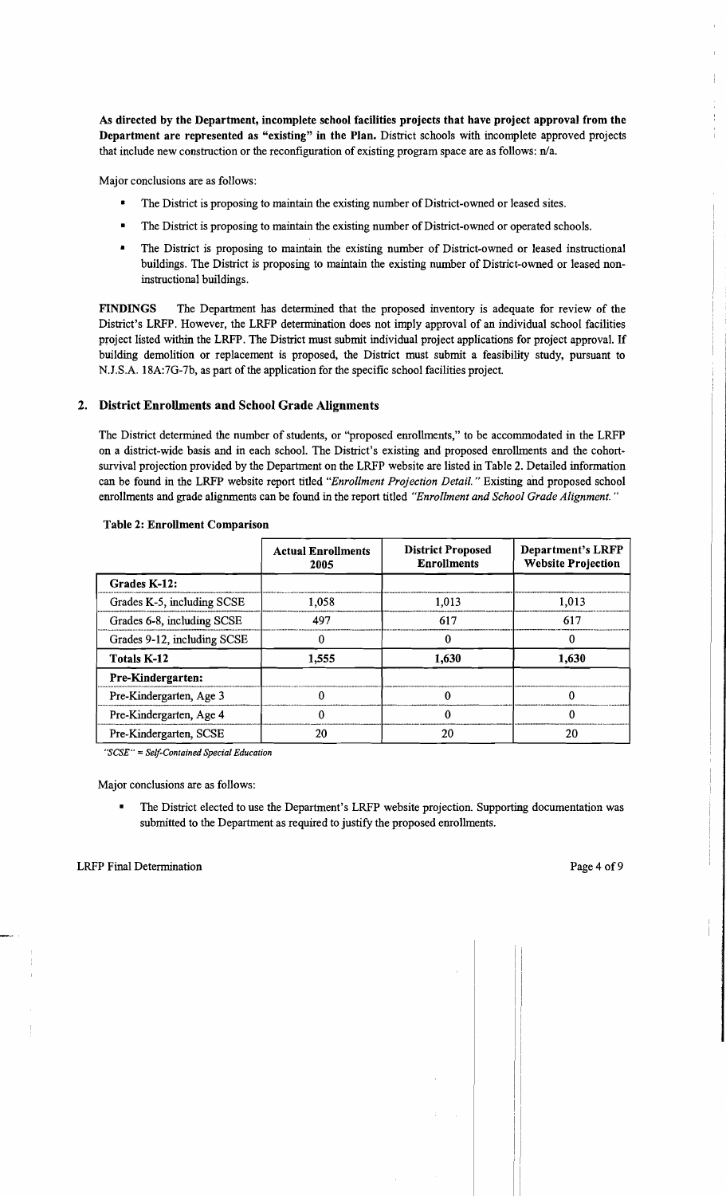As directed by the Department, incomplete school facilities projects that have project approval from the Department are represented as "existing" in the Plan. District schools with incomplete approved projects that include new construction or the reconfiguration of existing program space are as follows:  $n/a$ .

Major conclusions are as follows:

- The District is proposing to maintain the existing number of District-owned or leased sites.
- The District is proposing to maintain the existing number of District-owned or operated schools.
- The District is proposing to maintain the existing number of District-owned or leased instructional buildings. The District is proposing to maintain the existing number of District-owned or leased noninstructional buildings.

FINDINGS The Department has determined that the proposed inventory is adequate for review of the District's LRFP. However, the LRFP determination does not imply approval of an individual school facilities project listed within the LRFP. The District must submit individual project applications for project approval. If building demolition or replacement is proposed, the District must submit a feasibility study, pursuant to NJ.S.A. 18A:7G-7b, as part of the application for the specific school facilities project.

## 2. District Enrollments and School Grade Alignments

The District determined the number of students, or "proposed emollments," to be accommodated in the LRFP on a district-wide basis and in each school. The District's existing and proposed emollments and the cohortsurvival projection provided by the Department on the LRFP website are listed in Table 2. Detailed information can be found in the LRFP website report titled *"Enrollment Projection Detail.* " Existing and proposed school emollments and grade alignments can be found in the report titled *"Enrollment and School Grade Alignment. "* 

|                             | <b>Actual Enrollments</b><br>2005 | <b>District Proposed</b><br><b>Enrollments</b> | <b>Department's LRFP</b><br><b>Website Projection</b> |
|-----------------------------|-----------------------------------|------------------------------------------------|-------------------------------------------------------|
| Grades K-12:                |                                   |                                                |                                                       |
| Grades K-5, including SCSE  | 1,058                             | 1,013                                          | 1,013                                                 |
| Grades 6-8, including SCSE  | 497                               | 617                                            | 617                                                   |
| Grades 9-12, including SCSE |                                   |                                                |                                                       |
| <b>Totals K-12</b>          | 1,555                             | 1,630                                          | 1.630                                                 |
| Pre-Kindergarten:           |                                   |                                                |                                                       |
| Pre-Kindergarten, Age 3     |                                   |                                                | 0                                                     |
| Pre-Kindergarten, Age 4     |                                   |                                                | 0                                                     |
| Pre-Kindergarten, SCSE      | 20                                | 20                                             | 20                                                    |

## Table 2: Enrollment Comparison

*"SCSE"* = *Self-Contained Special Education* 

Major conclusions are as follows:

The District elected to use the Department's LRFP website projection. Supporting documentation was submitted to the Department as required to justify the proposed emollments.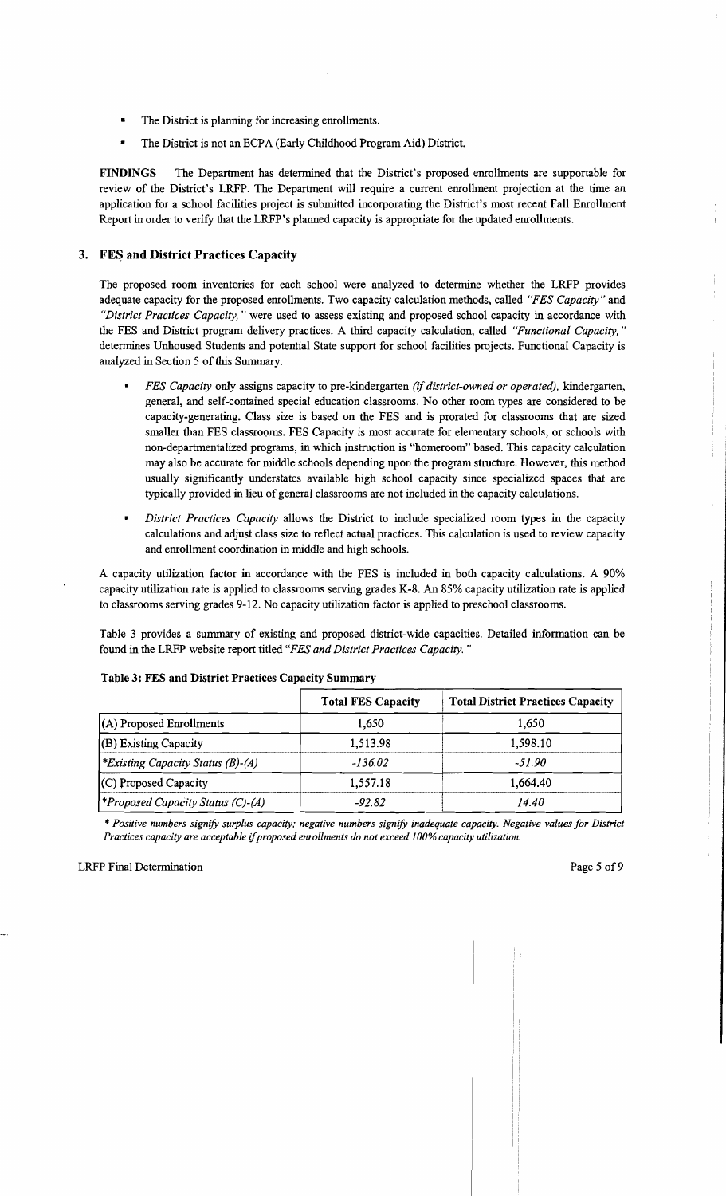- The District is planning for increasing enrollments.
- The District is not an ECPA (Early Childhood Program Aid) District.

FINDINGS The Department has determined that the District's proposed emollments are supportable for review of the District's LRFP. The Department will require a current emollment projection at the time an application for a school facilities project is submitted incorporating the District's most recent Fall Emollment Report in order to verify that the LRFP's planned capacity is appropriate for the updated emollments.

## 3. FES and District Practices Capacity

The proposed room inventories for each school were analyzed to determine whether the LRFP provides adequate capacity for the proposed emollments. Two capacity calculation methods, called *"FES Capacity"* and *"District Practices Capacity,* " were used to assess existing and proposed school capacity in accordance with the FES and District program delivery practices. A third capacity calculation, called *"Functional Capacity, "*  determines Unhoused Students and potential State support for school facilities projects. Functional Capacity is analyzed in Section 5 of this Summary.

- *FES Capacity* only assigns capacity to pre-kindergarten *(if district-owned or operated),* kindergarten, general, and self-contained special education classrooms. No other room types are considered to be capacity-generating. Class size is based on the FES and is prorated for classrooms that are sized smaller than FES classrooms. FES Capacity is most accurate for elementary schools, or schools with non-departmentalized programs, in which instruction is "homeroom" based. This capacity calculation may also be accurate for middle schools depending upon the program structure. However, this method usually significantly understates available high school capacity since specialized spaces that are typically provided in lieu of general classrooms are not included in the capacity calculations.
- *District Practices Capacity* allows the District to include specialized room types in the capacity calculations and adjust class size to reflect actual practices. This calculation is used to review capacity and emollment coordination in middle and high schools.

A capacity utilization factor in accordance with the FES is included in both capacity calculations. A 90% capacity utilization rate is applied to classrooms serving grades K-8. An 85% capacity utilization rate is applied to classrooms serving grades 9-12. No capacity utilization factor is applied to preschool classrooms.

Table 3 provides a summary of existing and proposed district-wide capacities. Detailed infonnation can be found in the LRFP website report titled *"FES and District Practices Capacity. "* 

|                                                 | <b>Total FES Capacity</b> | <b>Total District Practices Capacity</b> |  |
|-------------------------------------------------|---------------------------|------------------------------------------|--|
| $(A)$ Proposed Enrollments                      | 1.650                     | 1.650                                    |  |
| $($ B) Existing Capacity                        | 1,513.98                  | 1.598.10                                 |  |
| <i><b>*Existing Capacity Status (B)-(A)</b></i> | $-136.02$                 | -51.90                                   |  |
| $(C)$ Proposed Capacity                         | 1,557.18                  | 1.664.40                                 |  |
| <b>*Proposed Capacity Status (C)-(A)</b>        | $-92.82$                  | 14.40                                    |  |

#### Table 3: FES and District Practices Capacity Summary

... *Positive numbers signify surplus capacity; negative numbers signify inadequate capacity. Negative values for District Practices capacity are acceptable if proposed enrollments do not exceed 100% capacity utilization.*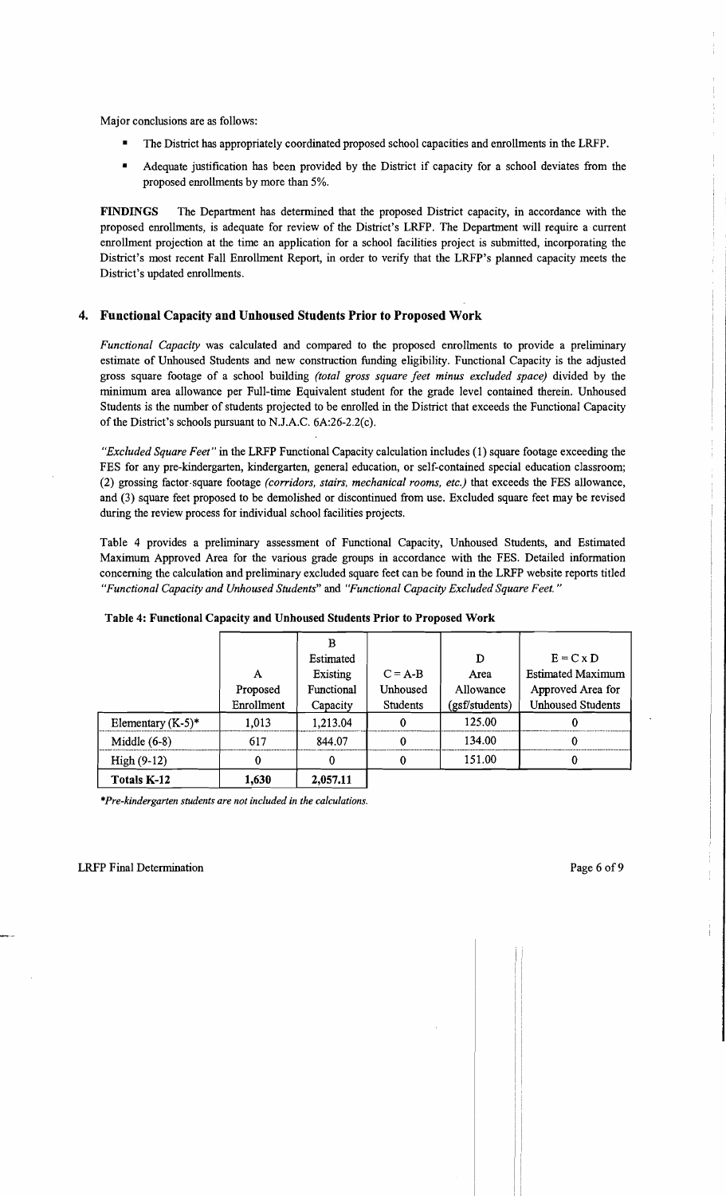Major conclusions are as follows:

- The District has appropriately coordinated proposed school capacities and enrollments in the LRFP.
- Adequate justification has been provided by the District if capacity for a school deviates from the proposed enrollments by more than 5%.

**FINDINGS** The Department has determined that the proposed District capacity, in accordance with the proposed enrollments, is adequate for review of the District's LRFP. The Department will require a current enrollment projection at the time an application for a school facilities project is submitted, incorporating the District's most recent Fall Enrollment Report, in order to verify that the LRFP's planned capacity meets the District's updated enrollments.

# **4. Functional Capacity and Unhoused Students Prior to Proposed Work**

*Functional Capacity* was calculated and compared to the proposed enrollments to provide a preliminary estimate of Unhoused Students and new construction funding eligibility. Functional Capacity is the adjusted gross square footage of a school building *(total gross square feet minus excluded space)* divided by the minimum area allowance per Full-time Equivalent student for the grade level contained therein. Unhoused Students is the number of students projected to be enrolled in the District that exceeds the Functional Capacity of the District's schools pursuant to NJ.A.C. 6A:26-2.2(c).

*"Excluded Square Feet"* in the LRFP Functional Capacity calculation includes (1) square footage exceeding the FES for any pre-kindergarten, kindergarten, general education, or self-contained special education classroom; (2) grossing factor.square footage *(corridors, stairs, mechanical rooms, etc.)* that exceeds the FES allowance, and (3) square feet proposed to be demolished or discontinued from use. Excluded square feet may be revised during the review process for individual school facilities projects.

Table 4 provides a preliminary assessment of Functional Capacity, Unhoused Students, and Estimated Maximum Approved Area for the various grade groups in accordance with the FES. Detailed information concerning the calculation and preliminary excluded square feet can be found in the LRFP website reports titled *"Functional Capacity and Unhoused Students"* and *"Functional Capacity Excluded Square Feet. "* 

|                      |            | В          |           |                |                          |
|----------------------|------------|------------|-----------|----------------|--------------------------|
|                      |            | Estimated  |           | D              | $E = C x D$              |
|                      | A          | Existing   | $C = A-B$ | Area           | <b>Estimated Maximum</b> |
|                      | Proposed   | Functional | Unhoused  | Allowance      | Approved Area for        |
|                      | Enrollment | Capacity   | Students  | (gsf/students) | <b>Unhoused Students</b> |
| Elementary $(K-5)^*$ | 1,013      | 1,213.04   | 0         | 125.00         | O                        |
| Middle $(6-8)$       | 617        | 844.07     | 0         | 134.00         |                          |
| $High(9-12)$         | 0          | 0          | 0         | 151.00         |                          |
| Totals K-12          | 1,630      | 2,057.11   |           |                |                          |

#### **Table 4: Functional Capacity and Unhoused Students Prior to Proposed Work**

*\*Pre-kindergarten students are not included* in *the calculations.*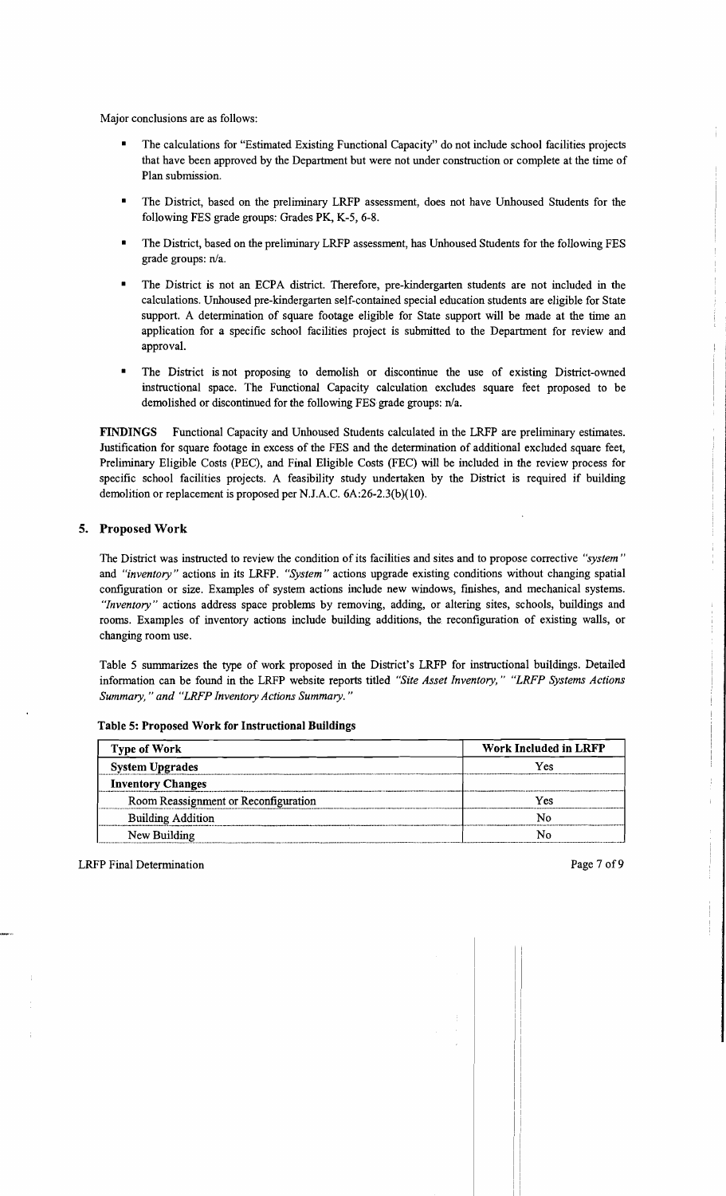Major conclusions are as follows:

- The calculations for "Estimated Existing Functional Capacity" do not include school facilities projects that have been approved by the Department but were not under construction or complete at the time of Plan submission.
- The District, based on the preliminary LRFP assessment, does not have Unhoused Students for the following FES grade groups: Grades PK, K-5, 6-8.
- The District, based on the preliminary LRFP assessment, has Unhoused Students for the following FES grade groups: n/a.
- The District is not an ECPA district. Therefore, pre-kindergarten students are not included in the calculations. Unhoused pre-kindergarten self-contained special education students are eligible for State support. A determination of square footage eligible for State support will be made at the time an application for a specific school facilities project is submitted to the Department for review and approval.
- The District is not proposing to demolish or discontinue the use of existing District-owned instructional space. The Functional Capacity calculation excludes square feet proposed to be demolished or discontinued for the following FES grade groups: n/a.

FINDINGS Functional Capacity and Unhoused Students calculated in the LRFP are preliminary estimates. Justification for square footage in excess of the PES and the determination of additional excluded square feet, Preliminary Eligible Costs (PEC), and Final Eligible Costs (FEC) will be included in the review process for specific school facilities projects. A feasibility study undertaken by the District is required if building demolition or replacement is proposed per N.J.A.C. 6A:26-2.3(b)(1O).

# 5. Proposed Work

The District was instructed to review the condition of its facilities and sites and to propose corrective *"system"*  and *"inventory"* actions in its LRFP. *"System"* actions upgrade existing conditions without changing spatial configuration or size. Examples of system actions include new windows, finishes, and mechanical systems. *"Inventory"* actions address space problems by removing, adding, or altering sites, schools, buildings and rooms. Examples of inventory actions include building additions, the reconfiguration of existing walls, or changing room use.

Table 5 summarizes the type of work proposed in the District's LRFP for instructional buildings. Detailed information can be found in the LRFP website reports titled *"Site Asset Inventory," "LRFP Systems Actions Summary,* " *and "LRFP Inventory Actions Summary. "* 

| <b>Type of Work</b>                  | <b>Work Included in LRFP</b> |  |
|--------------------------------------|------------------------------|--|
| <b>System Upgrades</b>               | Yes                          |  |
| <b>Inventory Changes</b>             |                              |  |
| Room Reassignment or Reconfiguration | Yes                          |  |
| <b>Building Addition</b>             | N٥                           |  |
| New Building                         |                              |  |

Table 5: Proposed Work for Instructional Buildings

LRFP Final Determination **Page 7 of 9**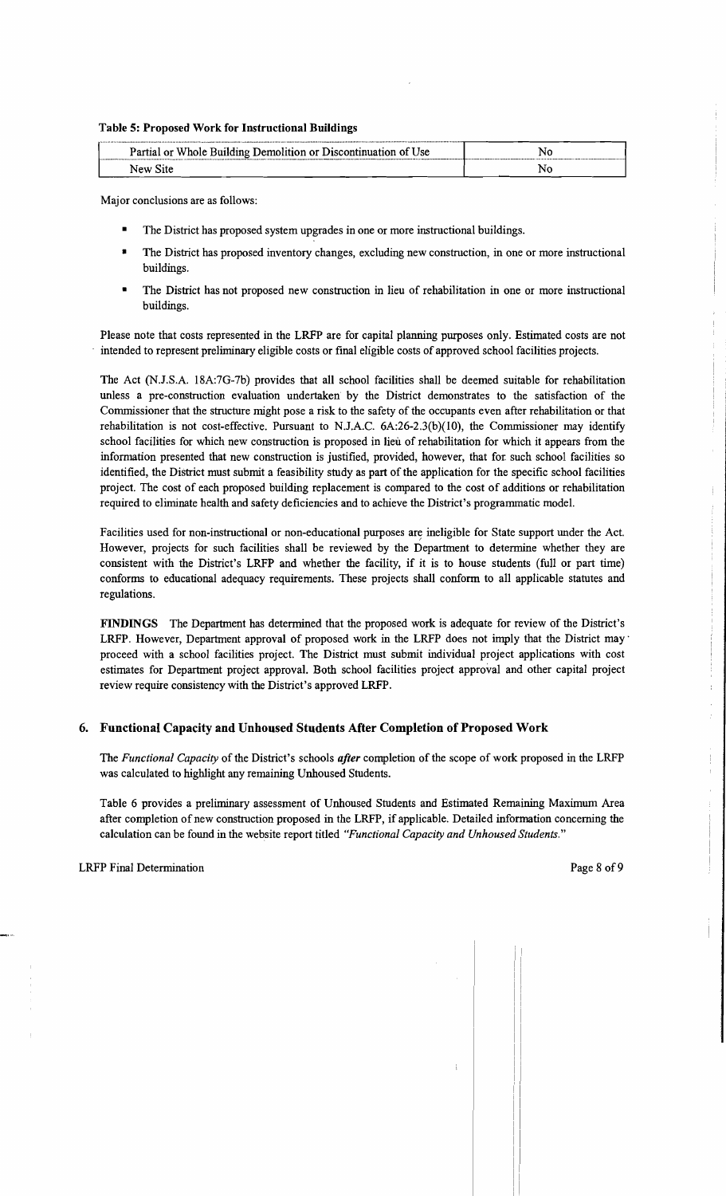#### Table 5: Proposed Work for Instructional Buildings

| Partial or Whole Building Demolition or Discontinuation of Use | Nι |
|----------------------------------------------------------------|----|
| New Site                                                       |    |

Major conclusions are as follows:

- The District has proposed system upgrades in one or more instructional buildings.
- The District has proposed inventory changes, excluding new construction, in one or more instructional buildings.
- The District has not proposed new construction in lieu of rehabilitation in one or more instructional buildings.

Please note that costs represented in the LRFP are for capital planning purposes only. Estimated costs are not intended to represent preliminary eligible costs or final eligible costs of approved school facilities projects.

The Act (N.I.SA l8A:7G-7b) provides that all school facilities shall be deemed suitable for rehabilitation unless a pre-construction evaluation undertaken by the District demonstrates to the satisfaction of the Commissioner that the structure might pose a risk to the safety of the occupants even after rehabilitation or that rehabilitation is not cost-effective. Pursuant to N.J.A.C.  $6A:26-2.3(b)(10)$ , the Commissioner may identify school facilities for which new construction is proposed in lieu of rehabilitation for which it appears from the information presented that new construction is justified, provided, however, that for such school facilities so identified, the District must submit a feasibility study as part of the application for the specific school facilities project. The cost of each proposed building replacement is compared to the cost of additions or rehabilitation required to eliminate health and safety deficiencies and to achieve the District's programmatic model.

Facilities used for non-instructional or non-educational purposes are ineligible for State support under the Act. However, projects for such facilities shall be reviewed by the Department to determine whether they are consistent with the District's LRFP and whether the facility, if it is to house students (full or part time) conforms to educational adequacy requirements. These projects shall conform to all applicable statutes and regulations.

FINDINGS The Department has determined that the proposed work is adequate for review of the District's LRFP. However, Department approval of proposed work in the LRFP does not imply that the District may' proceed with a school facilities project. The District must submit individual project applications with cost estimates for Department project approval. Both school facilities project approval and other capital project review require consistency with the District's approved LRFP.

## 6. Functional Capacity and Unhoused Students After Completion of Proposed Work

The *Functional Capacity* of the District's schools *after* completion of the scope of work proposed in the LRFP was calculated to highlight any remaining Unhoused Students.

Table 6 provides a preliminary assessment of Unhoused Students and Estimated Remaining Maximum Area after completion of new construction proposed in the LRFP, if applicable. Detailed information concerning the calculation can be found in the website report titled *"Functional Capacity and Unhoused Students."*